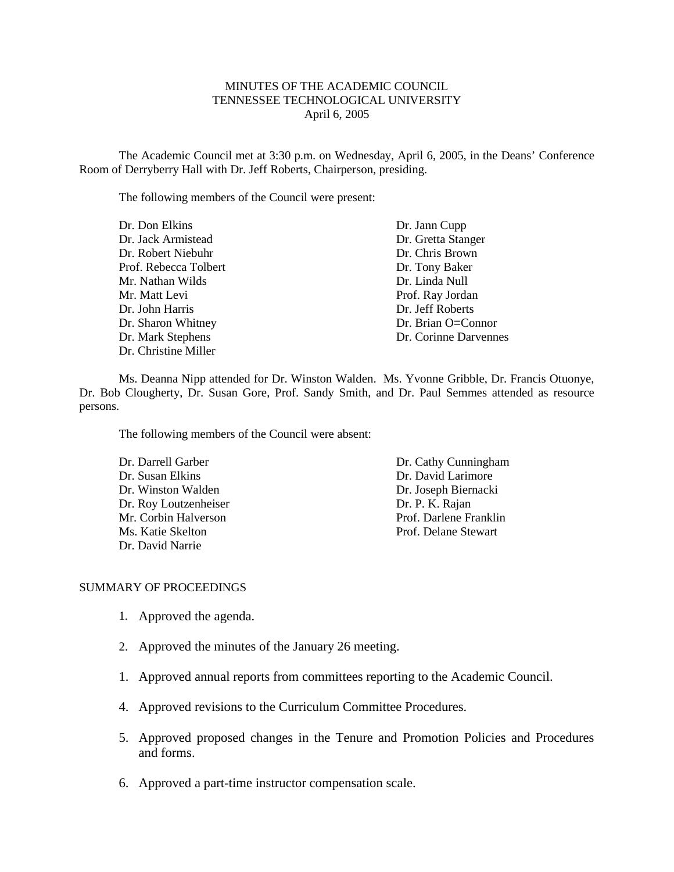### MINUTES OF THE ACADEMIC COUNCIL TENNESSEE TECHNOLOGICAL UNIVERSITY April 6, 2005

The Academic Council met at 3:30 p.m. on Wednesday, April 6, 2005, in the Deans' Conference Room of Derryberry Hall with Dr. Jeff Roberts, Chairperson, presiding.

The following members of the Council were present:

| Dr. Don Elkins        | Dr. Jann Cupp         |
|-----------------------|-----------------------|
| Dr. Jack Armistead    | Dr. Gretta Stanger    |
| Dr. Robert Niebuhr    | Dr. Chris Brown       |
| Prof. Rebecca Tolbert | Dr. Tony Baker        |
| Mr. Nathan Wilds      | Dr. Linda Null        |
| Mr. Matt Levi         | Prof. Ray Jordan      |
| Dr. John Harris       | Dr. Jeff Roberts      |
| Dr. Sharon Whitney    | Dr. Brian O=Connor    |
| Dr. Mark Stephens     | Dr. Corinne Darvennes |
| Dr. Christine Miller  |                       |

Ms. Deanna Nipp attended for Dr. Winston Walden. Ms. Yvonne Gribble, Dr. Francis Otuonye, Dr. Bob Clougherty, Dr. Susan Gore, Prof. Sandy Smith, and Dr. Paul Semmes attended as resource persons.

The following members of the Council were absent:

| Dr. Darrell Garber    | Dr. Cathy Cunningham   |
|-----------------------|------------------------|
| Dr. Susan Elkins      | Dr. David Larimore     |
| Dr. Winston Walden    | Dr. Joseph Biernacki   |
| Dr. Roy Loutzenheiser | Dr. P. K. Rajan        |
| Mr. Corbin Halverson  | Prof. Darlene Franklin |
| Ms. Katie Skelton     | Prof. Delane Stewart   |
| Dr. David Narrie      |                        |

### SUMMARY OF PROCEEDINGS

- 1. Approved the agenda.
- 2. Approved the minutes of the January 26 meeting.
- 1. Approved annual reports from committees reporting to the Academic Council.
- 4. Approved revisions to the Curriculum Committee Procedures.
- 5. Approved proposed changes in the Tenure and Promotion Policies and Procedures and forms.
- 6. Approved a part-time instructor compensation scale.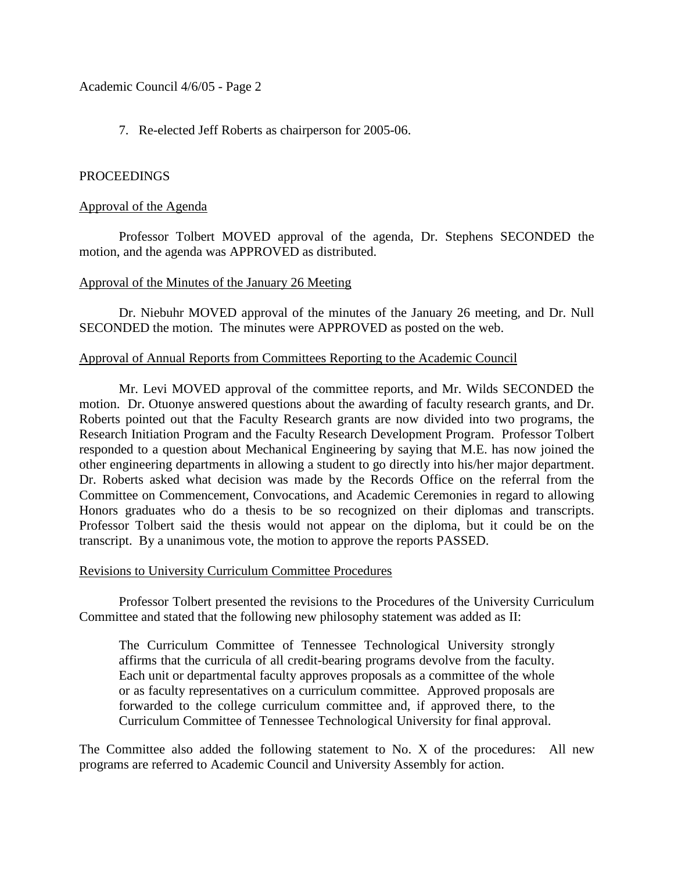Academic Council 4/6/05 - Page 2

7. Re-elected Jeff Roberts as chairperson for 2005-06.

# PROCEEDINGS

# Approval of the Agenda

Professor Tolbert MOVED approval of the agenda, Dr. Stephens SECONDED the motion, and the agenda was APPROVED as distributed.

## Approval of the Minutes of the January 26 Meeting

Dr. Niebuhr MOVED approval of the minutes of the January 26 meeting, and Dr. Null SECONDED the motion. The minutes were APPROVED as posted on the web.

# Approval of Annual Reports from Committees Reporting to the Academic Council

Mr. Levi MOVED approval of the committee reports, and Mr. Wilds SECONDED the motion. Dr. Otuonye answered questions about the awarding of faculty research grants, and Dr. Roberts pointed out that the Faculty Research grants are now divided into two programs, the Research Initiation Program and the Faculty Research Development Program. Professor Tolbert responded to a question about Mechanical Engineering by saying that M.E. has now joined the other engineering departments in allowing a student to go directly into his/her major department. Dr. Roberts asked what decision was made by the Records Office on the referral from the Committee on Commencement, Convocations, and Academic Ceremonies in regard to allowing Honors graduates who do a thesis to be so recognized on their diplomas and transcripts. Professor Tolbert said the thesis would not appear on the diploma, but it could be on the transcript. By a unanimous vote, the motion to approve the reports PASSED.

### Revisions to University Curriculum Committee Procedures

Professor Tolbert presented the revisions to the Procedures of the University Curriculum Committee and stated that the following new philosophy statement was added as II:

The Curriculum Committee of Tennessee Technological University strongly affirms that the curricula of all credit-bearing programs devolve from the faculty. Each unit or departmental faculty approves proposals as a committee of the whole or as faculty representatives on a curriculum committee. Approved proposals are forwarded to the college curriculum committee and, if approved there, to the Curriculum Committee of Tennessee Technological University for final approval.

The Committee also added the following statement to No. X of the procedures: All new programs are referred to Academic Council and University Assembly for action.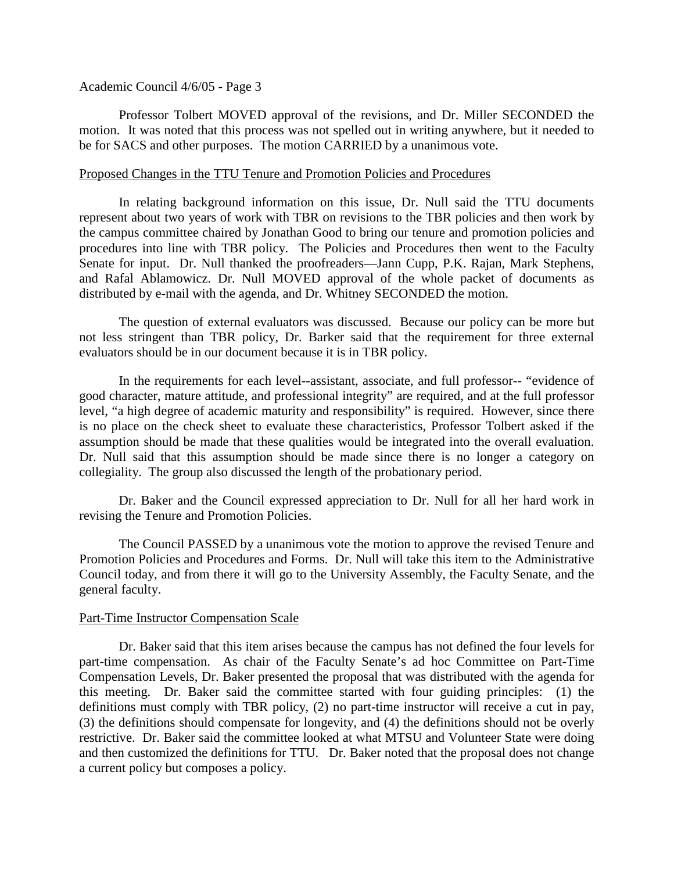#### Academic Council 4/6/05 - Page 3

Professor Tolbert MOVED approval of the revisions, and Dr. Miller SECONDED the motion. It was noted that this process was not spelled out in writing anywhere, but it needed to be for SACS and other purposes. The motion CARRIED by a unanimous vote.

#### Proposed Changes in the TTU Tenure and Promotion Policies and Procedures

In relating background information on this issue, Dr. Null said the TTU documents represent about two years of work with TBR on revisions to the TBR policies and then work by the campus committee chaired by Jonathan Good to bring our tenure and promotion policies and procedures into line with TBR policy. The Policies and Procedures then went to the Faculty Senate for input. Dr. Null thanked the proofreaders—Jann Cupp, P.K. Rajan, Mark Stephens, and Rafal Ablamowicz. Dr. Null MOVED approval of the whole packet of documents as distributed by e-mail with the agenda, and Dr. Whitney SECONDED the motion.

The question of external evaluators was discussed. Because our policy can be more but not less stringent than TBR policy, Dr. Barker said that the requirement for three external evaluators should be in our document because it is in TBR policy.

In the requirements for each level--assistant, associate, and full professor-- "evidence of good character, mature attitude, and professional integrity" are required, and at the full professor level, "a high degree of academic maturity and responsibility" is required. However, since there is no place on the check sheet to evaluate these characteristics, Professor Tolbert asked if the assumption should be made that these qualities would be integrated into the overall evaluation. Dr. Null said that this assumption should be made since there is no longer a category on collegiality. The group also discussed the length of the probationary period.

Dr. Baker and the Council expressed appreciation to Dr. Null for all her hard work in revising the Tenure and Promotion Policies.

The Council PASSED by a unanimous vote the motion to approve the revised Tenure and Promotion Policies and Procedures and Forms. Dr. Null will take this item to the Administrative Council today, and from there it will go to the University Assembly, the Faculty Senate, and the general faculty.

### Part-Time Instructor Compensation Scale

Dr. Baker said that this item arises because the campus has not defined the four levels for part-time compensation. As chair of the Faculty Senate's ad hoc Committee on Part-Time Compensation Levels, Dr. Baker presented the proposal that was distributed with the agenda for this meeting. Dr. Baker said the committee started with four guiding principles: (1) the definitions must comply with TBR policy, (2) no part-time instructor will receive a cut in pay, (3) the definitions should compensate for longevity, and (4) the definitions should not be overly restrictive. Dr. Baker said the committee looked at what MTSU and Volunteer State were doing and then customized the definitions for TTU. Dr. Baker noted that the proposal does not change a current policy but composes a policy.